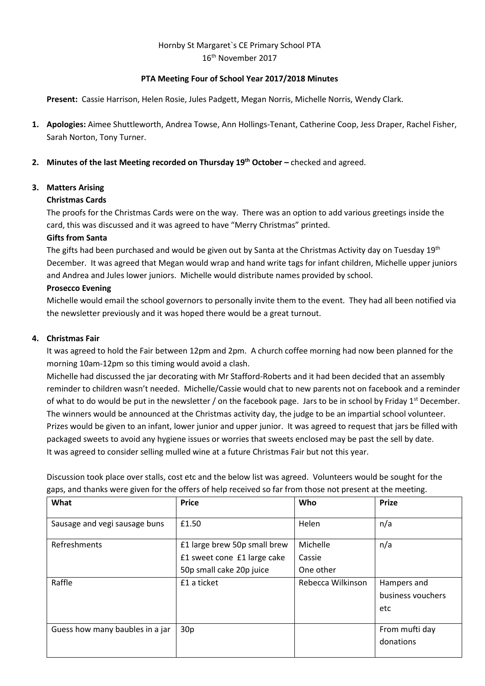# Hornby St Margaret`s CE Primary School PTA 16th November 2017

# **PTA Meeting Four of School Year 2017/2018 Minutes**

**Present:** Cassie Harrison, Helen Rosie, Jules Padgett, Megan Norris, Michelle Norris, Wendy Clark.

- **1. Apologies:** Aimee Shuttleworth, Andrea Towse, Ann Hollings-Tenant, Catherine Coop, Jess Draper, Rachel Fisher, Sarah Norton, Tony Turner.
- **2. Minutes of the last Meeting recorded on Thursday 19th October –** checked and agreed.

### **3. Matters Arising**

### **Christmas Cards**

The proofs for the Christmas Cards were on the way. There was an option to add various greetings inside the card, this was discussed and it was agreed to have "Merry Christmas" printed.

### **Gifts from Santa**

The gifts had been purchased and would be given out by Santa at the Christmas Activity day on Tuesday 19th December. It was agreed that Megan would wrap and hand write tags for infant children, Michelle upper juniors and Andrea and Jules lower juniors. Michelle would distribute names provided by school.

### **Prosecco Evening**

Michelle would email the school governors to personally invite them to the event. They had all been notified via the newsletter previously and it was hoped there would be a great turnout.

### **4. Christmas Fair**

It was agreed to hold the Fair between 12pm and 2pm. A church coffee morning had now been planned for the morning 10am-12pm so this timing would avoid a clash.

Michelle had discussed the jar decorating with Mr Stafford-Roberts and it had been decided that an assembly reminder to children wasn't needed. Michelle/Cassie would chat to new parents not on facebook and a reminder of what to do would be put in the newsletter / on the facebook page. Jars to be in school by Friday  $1<sup>st</sup>$  December. The winners would be announced at the Christmas activity day, the judge to be an impartial school volunteer. Prizes would be given to an infant, lower junior and upper junior. It was agreed to request that jars be filled with packaged sweets to avoid any hygiene issues or worries that sweets enclosed may be past the sell by date. It was agreed to consider selling mulled wine at a future Christmas Fair but not this year.

Discussion took place over stalls, cost etc and the below list was agreed. Volunteers would be sought for the gaps, and thanks were given for the offers of help received so far from those not present at the meeting.

| What                            | <b>Price</b>                 | Who               | <b>Prize</b>      |
|---------------------------------|------------------------------|-------------------|-------------------|
| Sausage and vegi sausage buns   | £1.50                        | Helen             | n/a               |
| Refreshments                    | £1 large brew 50p small brew | Michelle          | n/a               |
|                                 | £1 sweet cone £1 large cake  | Cassie            |                   |
|                                 | 50p small cake 20p juice     | One other         |                   |
| Raffle                          | £1 a ticket                  | Rebecca Wilkinson | Hampers and       |
|                                 |                              |                   | business vouchers |
|                                 |                              |                   | etc               |
| Guess how many baubles in a jar | 30p                          |                   | From mufti day    |
|                                 |                              |                   | donations         |